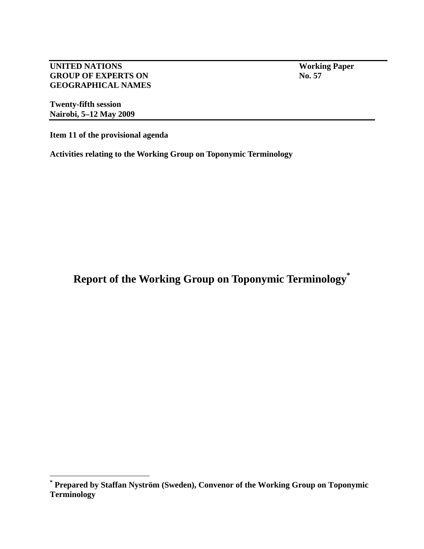**UNITED NATIONS** Working Paper **GROUP OF EXPERTS ON No. 57 GEOGRAPHICAL NAMES** 

**Twenty-fifth session Nairobi, 5–12 May 2009** 

 $\overline{a}$ 

**Item 11 of the provisional agenda** 

**Activities relating to the Working Group on Toponymic Terminology** 

**Report of the Working Group on Toponymic Terminology\***

**<sup>\*</sup> Prepared by Staffan Nyström (Sweden), Convenor of the Working Group on Toponymic Terminology**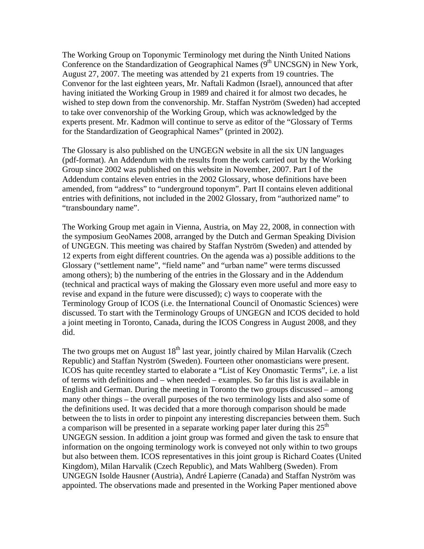The Working Group on Toponymic Terminology met during the Ninth United Nations Conference on the Standardization of Geographical Names  $(9<sup>th</sup> UNCSGN)$  in New York, August 27, 2007. The meeting was attended by 21 experts from 19 countries. The Convenor for the last eighteen years, Mr. Naftali Kadmon (Israel), announced that after having initiated the Working Group in 1989 and chaired it for almost two decades, he wished to step down from the convenorship. Mr. Staffan Nyström (Sweden) had accepted to take over convenorship of the Working Group, which was acknowledged by the experts present. Mr. Kadmon will continue to serve as editor of the "Glossary of Terms for the Standardization of Geographical Names" (printed in 2002).

The Glossary is also published on the UNGEGN website in all the six UN languages (pdf-format). An Addendum with the results from the work carried out by the Working Group since 2002 was published on this website in November, 2007. Part I of the Addendum contains eleven entries in the 2002 Glossary, whose definitions have been amended, from "address" to "underground toponym". Part II contains eleven additional entries with definitions, not included in the 2002 Glossary, from "authorized name" to "transboundary name".

The Working Group met again in Vienna, Austria, on May 22, 2008, in connection with the symposium GeoNames 2008, arranged by the Dutch and German Speaking Division of UNGEGN. This meeting was chaired by Staffan Nyström (Sweden) and attended by 12 experts from eight different countries. On the agenda was a) possible additions to the Glossary ("settlement name", "field name" and "urban name" were terms discussed among others); b) the numbering of the entries in the Glossary and in the Addendum (technical and practical ways of making the Glossary even more useful and more easy to revise and expand in the future were discussed); c) ways to cooperate with the Terminology Group of ICOS (i.e. the International Council of Onomastic Sciences) were discussed. To start with the Terminology Groups of UNGEGN and ICOS decided to hold a joint meeting in Toronto, Canada, during the ICOS Congress in August 2008, and they did.

The two groups met on August  $18<sup>th</sup>$  last year, jointly chaired by Milan Harvalik (Czech Republic) and Staffan Nyström (Sweden). Fourteen other onomasticians were present. ICOS has quite recentley started to elaborate a "List of Key Onomastic Terms", i.e. a list of terms with definitions and – when needed – examples. So far this list is available in English and German. During the meeting in Toronto the two groups discussed – among many other things – the overall purposes of the two terminology lists and also some of the definitions used. It was decided that a more thorough comparison should be made between the to lists in order to pinpoint any interesting discrepancies between them. Such a comparison will be presented in a separate working paper later during this  $25<sup>th</sup>$ UNGEGN session. In addition a joint group was formed and given the task to ensure that information on the ongoing terminology work is conveyed not only within to two groups but also between them. ICOS representatives in this joint group is Richard Coates (United Kingdom), Milan Harvalik (Czech Republic), and Mats Wahlberg (Sweden). From UNGEGN Isolde Hausner (Austria), André Lapierre (Canada) and Staffan Nyström was appointed. The observations made and presented in the Working Paper mentioned above